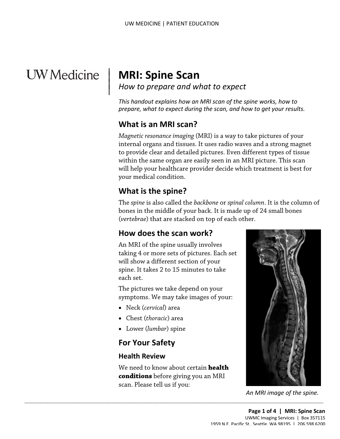## **UW** Medicine

|

# <sup>|</sup>**MRI: Spine Scan** | *How to prepare and what to expect* <sup>|</sup>

 *This handout explains how an MRI scan of the spine works, how to prepare, what to expect during the scan, and how to get your results.* 

### **What is an MRI scan?**

 internal organs and tissues. It uses radio waves and a strong magnet *Magnetic resonance imaging* (MRI) is a way to take pictures of your to provide clear and detailed pictures. Even different types of tissue within the same organ are easily seen in an MRI picture. This scan will help your healthcare provider decide which treatment is best for your medical condition.

## **What is the spine?**

 The *spine* is also called the *backbone* or *spinal column*. It is the column of (*vertebrae*) that are stacked on top of each other. bones in the middle of your back. It is made up of 24 small bones

## **How does the scan work?**

 spine. It takes 2 to 15 minutes to take An MRI of the spine usually involves taking 4 or more sets of pictures. Each set will show a different section of your each set.

The pictures we take depend on your symptoms. We may take images of your:

- Neck (*cervical*) area
- Chest (*thoracic*) area
- Lower (*lumbar*) spine

## **For Your Safety**

#### **Health Review**

 scan. Please tell us if you: We need to know about certain **health conditions** before giving you an MRI

 $\_$  , and the set of the set of the set of the set of the set of the set of the set of the set of the set of the set of the set of the set of the set of the set of the set of the set of the set of the set of the set of th



*An MRI image of the spine.*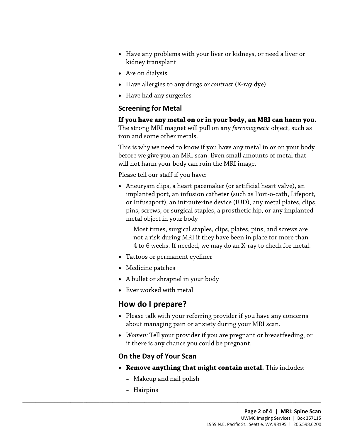- Have any problems with your liver or kidneys, or need a liver or kidney transplant
- Are on dialysis
- Have allergies to any drugs or *contrast* (X-ray dye)
- Have had any surgeries

#### **Screening for Metal**

**If you have any metal on or in your body, an MRI can harm you.**  The strong MRI magnet will pull on any *ferromagnetic* object, such as iron and some other metals.

This is why we need to know if you have any metal in or on your body before we give you an MRI scan. Even small amounts of metal that will not harm your body can ruin the MRI image.

Please tell our staff if you have:

- Aneurysm clips, a heart pacemaker (or artificial heart valve), an implanted port, an infusion catheter (such as Port-o-cath, Lifeport, or Infusaport), an intrauterine device (IUD), any metal plates, clips, pins, screws, or surgical staples, a prosthetic hip, or any implanted metal object in your body
	- Most times, surgical staples, clips, plates, pins, and screws are not a risk during MRI if they have been in place for more than 4 to 6 weeks. If needed, we may do an X-ray to check for metal.
- Tattoos or permanent eyeliner
- Medicine patches
- A bullet or shrapnel in your body
- Ever worked with metal

## **How do I prepare?**

- Please talk with your referring provider if you have any concerns about managing pain or anxiety during your MRI scan.
- *Women:* Tell your provider if you are pregnant or breastfeeding, or if there is any chance you could be pregnant.

#### **On the Day of Your Scan**

- • **Remove anything that might contain metal.** This includes:
	- Makeup and nail polish

 $\_$  ,  $\_$  ,  $\_$  ,  $\_$  ,  $\_$  ,  $\_$  ,  $\_$  ,  $\_$  ,  $\_$  ,  $\_$  ,  $\_$  ,  $\_$  ,  $\_$  ,  $\_$  ,  $\_$  ,  $\_$  ,  $\_$  ,  $\_$  ,  $\_$  ,  $\_$  ,  $\_$  ,  $\_$  ,  $\_$  ,  $\_$  ,  $\_$  ,  $\_$  ,  $\_$  ,  $\_$  ,  $\_$  ,  $\_$  ,  $\_$  ,  $\_$  ,  $\_$  ,  $\_$  ,  $\_$  ,  $\_$  ,  $\_$  ,

– Hairpins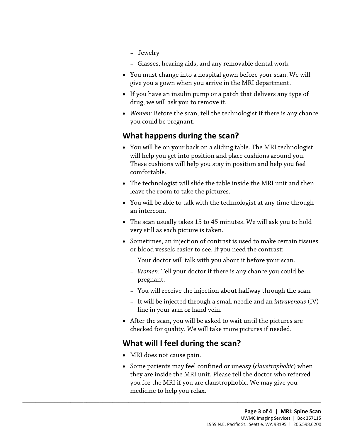- Jewelry
- Glasses, hearing aids, and any removable dental work
- You must change into a hospital gown before your scan. We will give you a gown when you arrive in the MRI department.
- If you have an insulin pump or a patch that delivers any type of drug, we will ask you to remove it.
- *Women:* Before the scan, tell the technologist if there is any chance you could be pregnant.

## **What happens during the scan?**

- You will lie on your back on a sliding table. The MRI technologist will help you get into position and place cushions around you. These cushions will help you stay in position and help you feel comfortable.
- • The technologist will slide the table inside the MRI unit and then leave the room to take the pictures.
- • You will be able to talk with the technologist at any time through an intercom.
- • The scan usually takes 15 to 45 minutes. We will ask you to hold very still as each picture is taken.
- Sometimes, an injection of contrast is used to make certain tissues or blood vessels easier to see. If you need the contrast:
	- Your doctor will talk with you about it before your scan.
	- *Women:* Tell your doctor if there is any chance you could be pregnant.
	- You will receive the injection about halfway through the scan.
	- It will be injected through a small needle and an *intravenous* (IV) line in your arm or hand vein.
- After the scan, you will be asked to wait until the pictures are checked for quality. We will take more pictures if needed.

## **What will I feel during the scan?**

• MRI does not cause pain.

 $\_$  ,  $\_$  ,  $\_$  ,  $\_$  ,  $\_$  ,  $\_$  ,  $\_$  ,  $\_$  ,  $\_$  ,  $\_$  ,  $\_$  ,  $\_$  ,  $\_$  ,  $\_$  ,  $\_$  ,  $\_$  ,  $\_$  ,  $\_$  ,  $\_$  ,  $\_$  ,  $\_$  ,  $\_$  ,  $\_$  ,  $\_$  ,  $\_$  ,  $\_$  ,  $\_$  ,  $\_$  ,  $\_$  ,  $\_$  ,  $\_$  ,  $\_$  ,  $\_$  ,  $\_$  ,  $\_$  ,  $\_$  ,  $\_$  ,

• Some patients may feel confined or uneasy (*claustrophobic*) when they are inside the MRI unit. Please tell the doctor who referred you for the MRI if you are claustrophobic. We may give you medicine to help you relax.